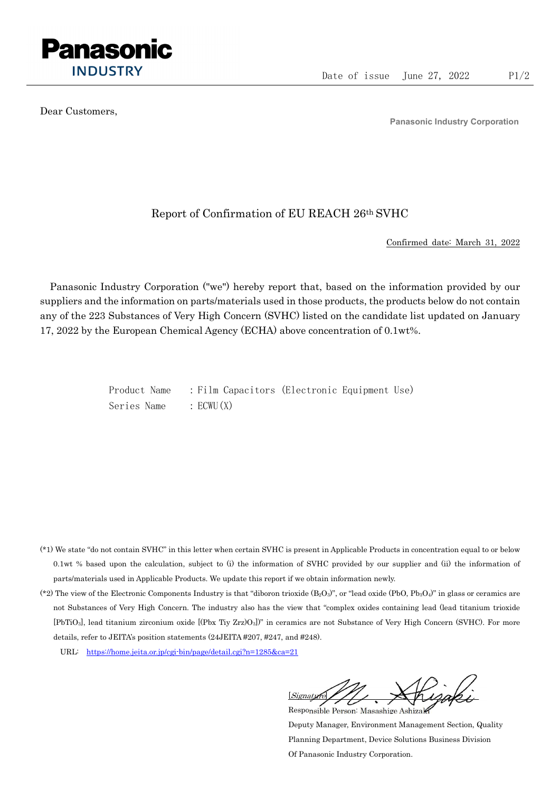

Dear Customers,

Panasonic Industry Corporation

## Report of Confirmation of EU REACH 26th SVHC

Confirmed date: March 31, 2022

Panasonic Industry Corporation ("we") hereby report that, based on the information provided by our suppliers and the information on parts/materials used in those products, the products below do not contain any of the 223 Substances of Very High Concern (SVHC) listed on the candidate list updated on January 17, 2022 by the European Chemical Agency (ECHA) above concentration of 0.1wt%.

> Product Name : Film Capacitors (Electronic Equipment Use) Series Name : ECWU(X)

- (\*1) We state "do not contain SVHC" in this letter when certain SVHC is present in Applicable Products in concentration equal to or below 0.1wt % based upon the calculation, subject to (i) the information of SVHC provided by our supplier and (ii) the information of parts/materials used in Applicable Products. We update this report if we obtain information newly.
- (\*2) The view of the Electronic Components Industry is that "diboron trioxide  $(B_2O_3)$ ", or "lead oxide (PbO, Pb<sub>3</sub>O<sub>4</sub>)" in glass or ceramics are not Substances of Very High Concern. The industry also has the view that "complex oxides containing lead (lead titanium trioxide [PbTiO3], lead titanium zirconium oxide [(Pbx Tiy Zrz)O3])" in ceramics are not Substance of Very High Concern (SVHC). For more details, refer to JEITA's position statements (24JEITA #207, #247, and #248).
	- URL: https://home.jeita.or.jp/cgi-bin/page/detail.cgi?n=1285&ca=21

[Signature] Responsible Person: Masashige Ashizaki

Deputy Manager, Environment Management Section, Quality Planning Department, Device Solutions Business Division Of Panasonic Industry Corporation.